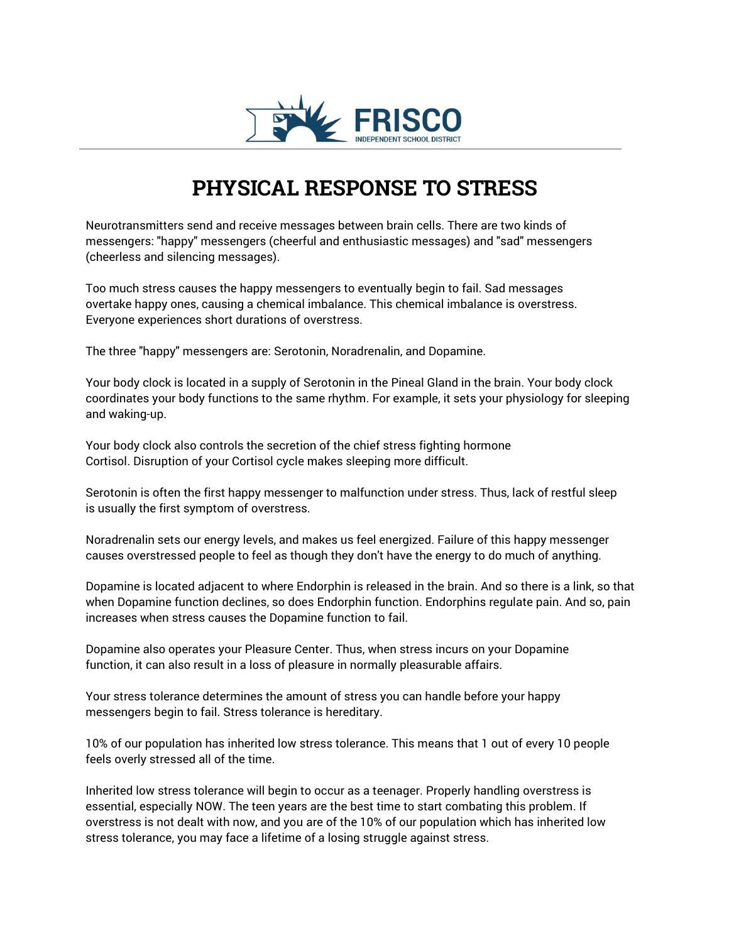

## **PHYSICAL RESPONSE TO STRESS**

Neurotransmitters send and receive messages between brain cells. There are two kinds of messengers: "happy" messengers (cheerful and enthusiastic messages) and "sad" messengers (cheerless and silencing messages).

Too much stress causes the happy messengers to eventually begin to fail. Sad messages overtake happy ones, causing a chemical imbalance. This chemical imbalance is overstress. Everyone experiences short durations of overstress.

The three "happy" messengers are: Serotonin, Noradrenalin, and Dopamine.

Your body clock is located in a supply of Serotonin in the Pineal Gland in the brain. Your body clock coordinates your body functions to the same rhythm. For example, it sets your physiology for sleeping and waking-up.

Your body clock also controls the secretion of the chief stress fighting hormone Cortisol. Disruption of your Cortisol cycle makes sleeping more difficult.

Serotonin is often the first happy messenger to malfunction under stress. Thus, lack of restful sleep is usually the first symptom of overstress.

Noradrenalin sets our energy levels, and makes us feel energized. Failure of this happy messenger causes overstressed people to feel as though they don't have the energy to do much of anything.

Dopamine is located adjacent to where Endorphin is released in the brain. And so there is a link, so that when Dopamine function declines, so does Endorphin function. Endorphins regulate pain. And so, pain increases when stress causes the Dopamine function to fail.

Dopamine also operates your Pleasure Center. Thus, when stress incurs on your Dopamine function, it can also result in a loss of pleasure in normally pleasurable affairs.

Your stress tolerance determines the amount of stress you can handle before your happy messengers begin to fail. Stress tolerance is hereditary.

10% of our population has inherited low stress tolerance. This means that 1 out of every 10 people feels overly stressed all of the time.

Inherited low stress tolerance will begin to occur as a teenager. Properly handling overstress is essential, especially NOW. The teen years are the best time to start combating this problem. If overstress is not dealt with now, and you are of the 10% of our population which has inherited low stress tolerance, you may face a lifetime of a losing struggle against stress.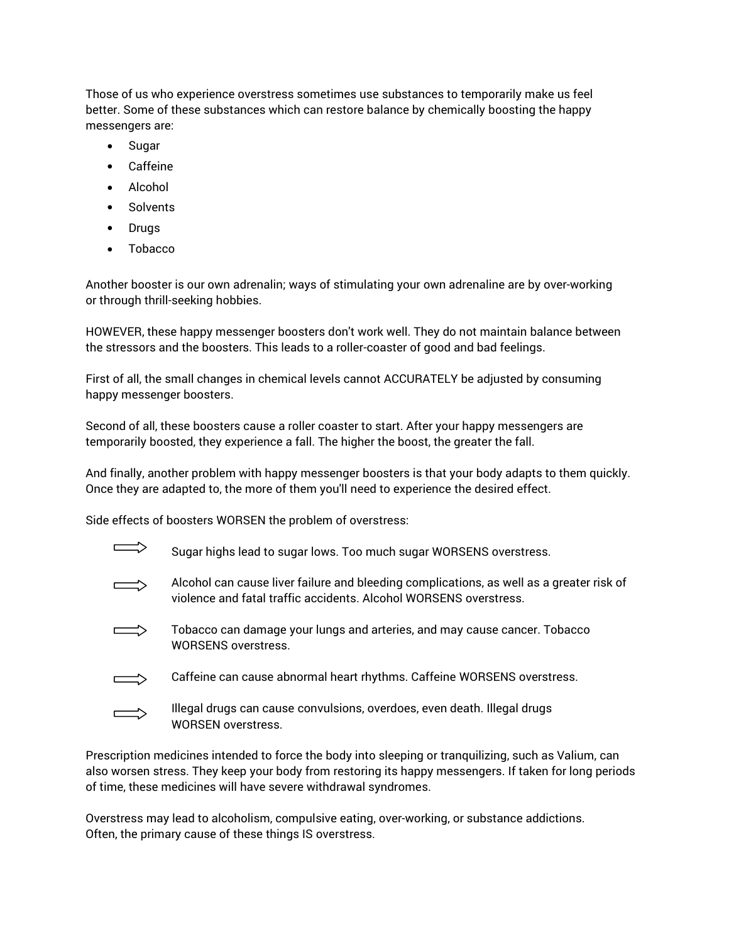Those of us who experience overstress sometimes use substances to temporarily make us feel better. Some of these substances which can restore balance by chemically boosting the happy messengers are:

- Sugar
- Caffeine
- Alcohol
- Solvents
- Drugs
- Tobacco

Another booster is our own adrenalin; ways of stimulating your own adrenaline are by over-working or through thrill-seeking hobbies.

HOWEVER, these happy messenger boosters don't work well. They do not maintain balance between the stressors and the boosters. This leads to a roller-coaster of good and bad feelings.

First of all, the small changes in chemical levels cannot ACCURATELY be adjusted by consuming happy messenger boosters.

Second of all, these boosters cause a roller coaster to start. After your happy messengers are temporarily boosted, they experience a fall. The higher the boost, the greater the fall.

And finally, another problem with happy messenger boosters is that your body adapts to them quickly. Once they are adapted to, the more of them you'll need to experience the desired effect.

Side effects of boosters WORSEN the problem of overstress:

| Sugar highs lead to sugar lows. Too much sugar WORSENS overstress.                                                                                            |
|---------------------------------------------------------------------------------------------------------------------------------------------------------------|
| Alcohol can cause liver failure and bleeding complications, as well as a greater risk of<br>violence and fatal traffic accidents. Alcohol WORSENS overstress. |
| Tobacco can damage your lungs and arteries, and may cause cancer. Tobacco<br><b>WORSENS overstress.</b>                                                       |
| Caffeine can cause abnormal heart rhythms. Caffeine WORSENS overstress.                                                                                       |
| Illegal drugs can cause convulsions, overdoes, even death. Illegal drugs<br><b>WORSEN overstress.</b>                                                         |

Prescription medicines intended to force the body into sleeping or tranquilizing, such as Valium, can also worsen stress. They keep your body from restoring its happy messengers. If taken for long periods of time, these medicines will have severe withdrawal syndromes.

Overstress may lead to alcoholism, compulsive eating, over-working, or substance addictions. Often, the primary cause of these things IS overstress.